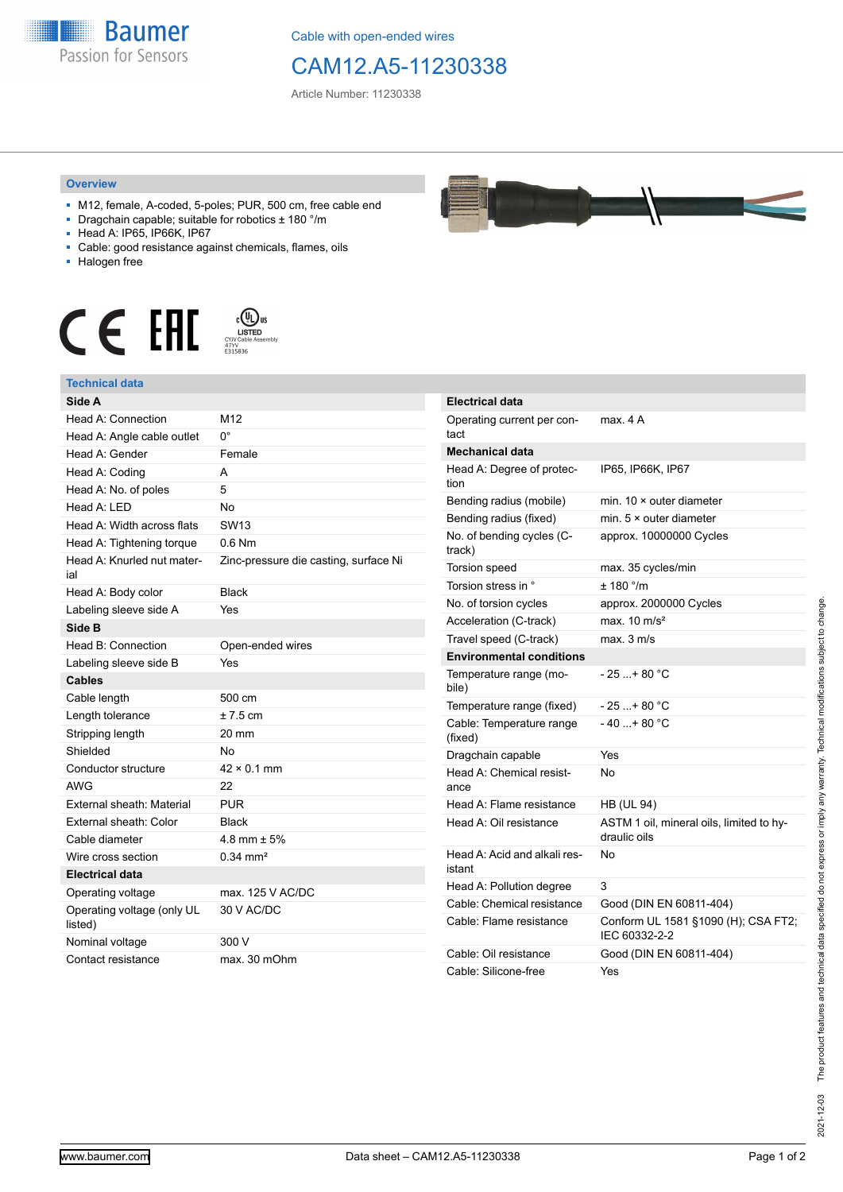

Cable with open-ended wires

## CAM12.A5-11230338

Article Number: 11230338

## **Overview**

- M12, female, A-coded, 5-poles; PUR, 500 cm, free cable end
- Dragchain capable; suitable for robotics ± 180 °/m
- Head A: IP65, IP66K, IP67
- Cable: good resistance against chemicals, flames, oils
- Halogen free





| Side A                                |                                       |
|---------------------------------------|---------------------------------------|
| Head A: Connection                    | M12                                   |
| Head A: Angle cable outlet            | 0°                                    |
| Head A: Gender                        | Female                                |
| Head A: Coding                        | A                                     |
| Head A: No. of poles                  | 5                                     |
| Head $A \cdot IFD$                    | No                                    |
| Head A: Width across flats            | SW <sub>13</sub>                      |
| Head A: Tightening torque             | $0.6$ Nm                              |
| Head A: Knurled nut mater-<br>ial     | Zinc-pressure die casting, surface Ni |
| Head A: Body color                    | <b>Black</b>                          |
| Labeling sleeve side A                | Yes                                   |
| Side B                                |                                       |
| Head B: Connection                    | Open-ended wires                      |
| Labeling sleeve side B                | Yes                                   |
| <b>Cables</b>                         |                                       |
| Cable length                          | 500 cm                                |
| Length tolerance                      | $± 7.5$ cm                            |
| Stripping length                      | 20 mm                                 |
| Shielded                              | No                                    |
| Conductor structure                   | $42 \times 0.1$ mm                    |
| <b>AWG</b>                            | 22                                    |
| External sheath: Material             | <b>PUR</b>                            |
| External sheath: Color                | <b>Black</b>                          |
| Cable diameter                        | $4.8$ mm $\pm$ 5%                     |
| Wire cross section                    | $0.34 \text{ mm}^2$                   |
| <b>Electrical data</b>                |                                       |
| Operating voltage                     | max, 125 V AC/DC                      |
| Operating voltage (only UL<br>listed) | 30 V AC/DC                            |
| Nominal voltage                       | 300 V                                 |
| Contact resistance                    | max. 30 mOhm                          |



| <b>Electrical data</b>                 |                                                          |
|----------------------------------------|----------------------------------------------------------|
| Operating current per con-<br>tact     | max. 4 A                                                 |
| <b>Mechanical data</b>                 |                                                          |
| Head A: Degree of protec-<br>tion      | IP65, IP66K, IP67                                        |
| Bending radius (mobile)                | min. $10 \times$ outer diameter                          |
| Bending radius (fixed)                 | min. $5 \times$ outer diameter                           |
| No. of bending cycles (C-<br>track)    | approx. 10000000 Cycles                                  |
| Torsion speed                          | max. 35 cycles/min                                       |
| Torsion stress in °                    | ± 180 °/m                                                |
| No. of torsion cycles                  | approx. 2000000 Cycles                                   |
| Acceleration (C-track)                 | max. $10 \text{ m/s}^2$                                  |
| Travel speed (C-track)                 | max. 3 m/s                                               |
| <b>Environmental conditions</b>        |                                                          |
| Temperature range (mo-<br>bile)        | - 25 + 80 °C                                             |
| Temperature range (fixed)              | - 25 + 80 °C                                             |
| Cable: Temperature range<br>(fixed)    | $-40+80 °C$                                              |
| Dragchain capable                      | Yes                                                      |
| Head A: Chemical resist-<br>ance       | No                                                       |
| Head A: Flame resistance               | <b>HB (UL 94)</b>                                        |
| Head A: Oil resistance                 | ASTM 1 oil, mineral oils, limited to hy-<br>draulic oils |
| Head A: Acid and alkali res-<br>istant | N٥                                                       |
| Head A: Pollution degree               | 3                                                        |
| Cable: Chemical resistance             | Good (DIN EN 60811-404)                                  |
| Cable: Flame resistance                | Conform UL 1581 §1090 (H); CSA FT2;<br>IEC 60332-2-2     |
| Cable: Oil resistance                  | Good (DIN EN 60811-404)                                  |
| Cable: Silicone-free                   | Yes                                                      |